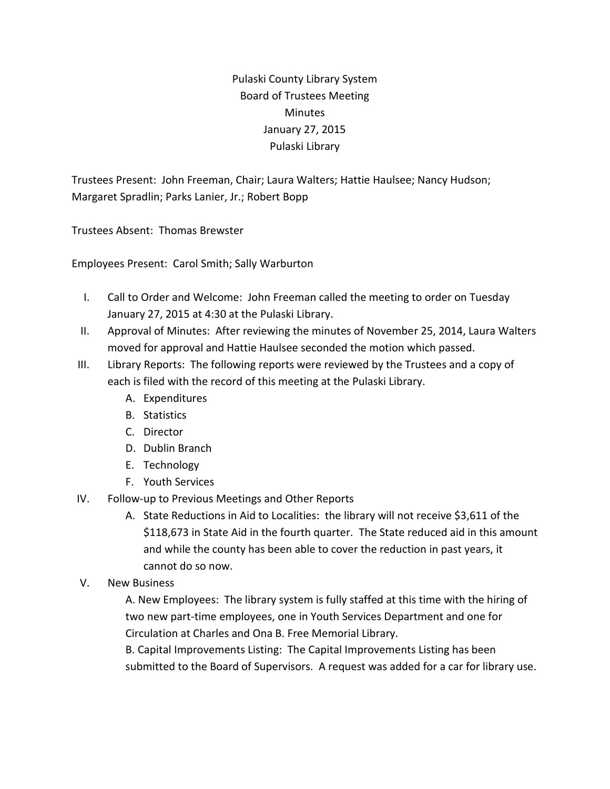Pulaski County Library System Board of Trustees Meeting **Minutes** January 27, 2015 Pulaski Library

Trustees Present: John Freeman, Chair; Laura Walters; Hattie Haulsee; Nancy Hudson; Margaret Spradlin; Parks Lanier, Jr.; Robert Bopp

Trustees Absent: Thomas Brewster

Employees Present: Carol Smith; Sally Warburton

- I. Call to Order and Welcome: John Freeman called the meeting to order on Tuesday January 27, 2015 at 4:30 at the Pulaski Library.
- II. Approval of Minutes: After reviewing the minutes of November 25, 2014, Laura Walters moved for approval and Hattie Haulsee seconded the motion which passed.
- III. Library Reports: The following reports were reviewed by the Trustees and a copy of each is filed with the record of this meeting at the Pulaski Library.
	- A. Expenditures
	- B. Statistics
	- C. Director
	- D. Dublin Branch
	- E. Technology
	- F. Youth Services
- IV. Follow-up to Previous Meetings and Other Reports
	- A. State Reductions in Aid to Localities: the library will not receive \$3,611 of the \$118,673 in State Aid in the fourth quarter. The State reduced aid in this amount and while the county has been able to cover the reduction in past years, it cannot do so now.
- V. New Business

A. New Employees: The library system is fully staffed at this time with the hiring of two new part-time employees, one in Youth Services Department and one for Circulation at Charles and Ona B. Free Memorial Library.

B. Capital Improvements Listing: The Capital Improvements Listing has been submitted to the Board of Supervisors. A request was added for a car for library use.